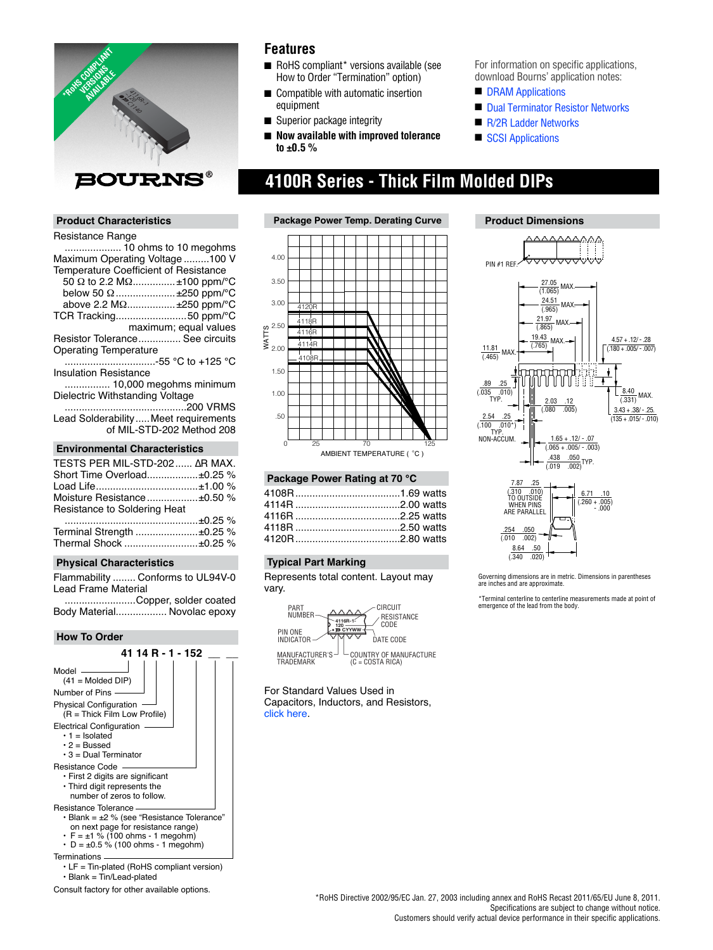

#### **Product Characteristics**

#### Resistance Range

| Maximum Operating Voltage100 V                 |
|------------------------------------------------|
| Temperature Coefficient of Resistance          |
| 50 $\Omega$ to 2.2 M $\Omega$ ±100 ppm/°C      |
| below 50 $\Omega$ ±250 ppm/°C                  |
| above 2.2 $M\Omega$ ±250 ppm/°C                |
| TCR Tracking50 ppm/°C                          |
| maximum; equal values                          |
| Resistor Tolerance See circuits                |
| <b>Operating Temperature</b>                   |
| -55 °C to +125 °C                              |
| <b>Insulation Resistance</b>                   |
| 10,000 megohms minimum                         |
| Dielectric Withstanding Voltage                |
|                                                |
| Lead SolderabilityMeet requirements            |
| of MIL-STD-202 Method 208                      |
|                                                |
| <b>Environmental Characteristics</b>           |
| TESTS PER MIL-STD-202  ΔR MAX.                 |
| Short Time Overload±0.25 %                     |
| .<br>$\sim$ $\sim$ $\sim$ $\sim$ $\sim$ $\sim$ |

| Short Time Overload ±0.25 %  |  |
|------------------------------|--|
|                              |  |
| Moisture Resistance±0.50 %   |  |
| Resistance to Soldering Heat |  |
|                              |  |
| Terminal Strength ±0.25 %    |  |
|                              |  |

#### **Physical Characteristics**

Flammability ........ Conforms to UL94V-0 Lead Frame Material

 .........................Copper, solder coated Body Material.................. Novolac epoxy

#### **How To Order**



• Blank = Tin/Lead-plated

Consult factory for other available options.

### **Features**

- RoHS compliant\* versions available (see How to Order "Termination" option)
- Compatible with automatic insertion equipment
- Superior package integrity
- **Now available with improved tolerance to ±0.5 %**

# **4100R Series - Thick Film Molded DIPs**



#### **Package Power Rating at 70 °C**

#### **Typical Part Marking**

Represents total content. Layout may vary.



For Standard Values Used in [Capacitors, In](http://www.bourns.com/Support.aspx?name=TechnicalLibraryStndrdValues)ductors, and Resistors, click here.

For information on specific applications, download Bourns' application notes:

- **[DRAM Applications](http://www.bourns.com/pdfs/DRAM.pdf)**
- [Dual Terminator Resistor Networks](http://www.bourns.com/pdfs/dualterm.pdf)
- [R/2R Ladder Networks](http://www.bourns.com/pdfs/r2rap.pdf)
- [SCSI Applications](http://www.bourns.com/pdfs/scsi.pdf)



Governing dimensions are in metric. Dimensions in parentheses are inches and are approximate.

\*Terminal centerline to centerline measurements made at point of emergence of the lead from the body.